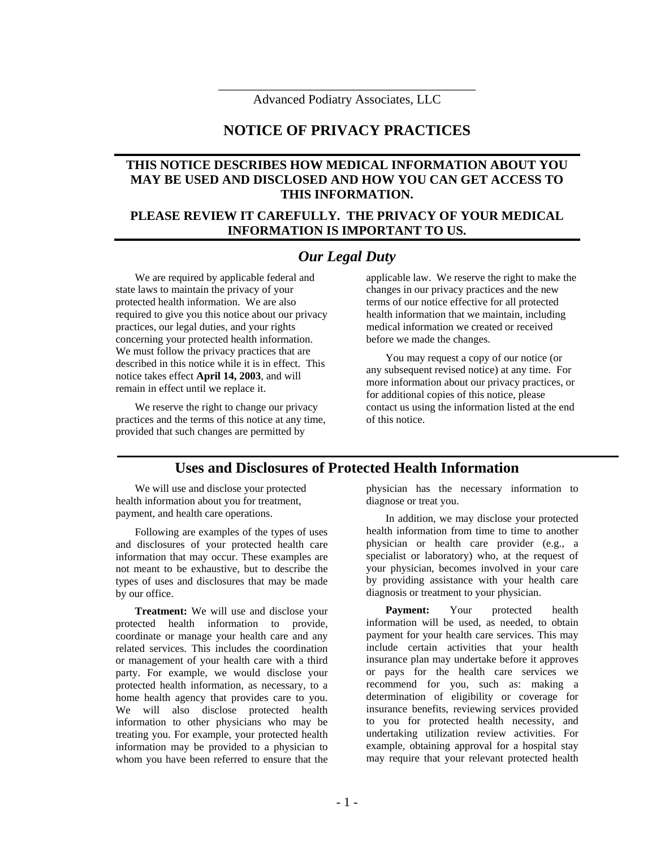\_\_\_\_\_\_\_\_\_\_\_\_\_\_\_\_\_\_\_\_\_\_\_\_\_\_\_\_\_\_\_\_\_\_\_\_\_\_\_\_ Advanced Podiatry Associates, LLC

## **NOTICE OF PRIVACY PRACTICES**

### **THIS NOTICE DESCRIBES HOW MEDICAL INFORMATION ABOUT YOU MAY BE USED AND DISCLOSED AND HOW YOU CAN GET ACCESS TO THIS INFORMATION.**

#### **PLEASE REVIEW IT CAREFULLY. THE PRIVACY OF YOUR MEDICAL INFORMATION IS IMPORTANT TO US.**

### *Our Legal Duty*

We are required by applicable federal and state laws to maintain the privacy of your protected health information. We are also required to give you this notice about our privacy practices, our legal duties, and your rights concerning your protected health information. We must follow the privacy practices that are described in this notice while it is in effect. This notice takes effect **April 14, 2003**, and will remain in effect until we replace it.

We reserve the right to change our privacy practices and the terms of this notice at any time, provided that such changes are permitted by

applicable law. We reserve the right to make the changes in our privacy practices and the new terms of our notice effective for all protected health information that we maintain, including medical information we created or received before we made the changes.

You may request a copy of our notice (or any subsequent revised notice) at any time. For more information about our privacy practices, or for additional copies of this notice, please contact us using the information listed at the end of this notice.

### **Uses and Disclosures of Protected Health Information**

We will use and disclose your protected health information about you for treatment, payment, and health care operations.

Following are examples of the types of uses and disclosures of your protected health care information that may occur. These examples are not meant to be exhaustive, but to describe the types of uses and disclosures that may be made by our office.

**Treatment:** We will use and disclose your protected health information to provide, coordinate or manage your health care and any related services. This includes the coordination or management of your health care with a third party. For example, we would disclose your protected health information, as necessary, to a home health agency that provides care to you. We will also disclose protected health information to other physicians who may be treating you. For example, your protected health information may be provided to a physician to whom you have been referred to ensure that the

physician has the necessary information to diagnose or treat you.

In addition, we may disclose your protected health information from time to time to another physician or health care provider (e.g., a specialist or laboratory) who, at the request of your physician, becomes involved in your care by providing assistance with your health care diagnosis or treatment to your physician.

**Payment:** Your protected health information will be used, as needed, to obtain payment for your health care services. This may include certain activities that your health insurance plan may undertake before it approves or pays for the health care services we recommend for you, such as: making a determination of eligibility or coverage for insurance benefits, reviewing services provided to you for protected health necessity, and undertaking utilization review activities. For example, obtaining approval for a hospital stay may require that your relevant protected health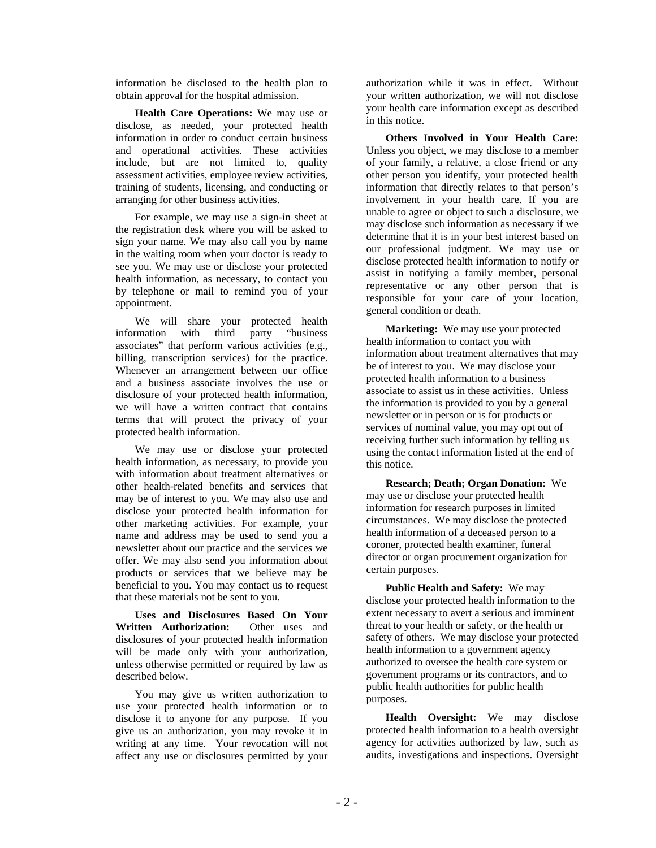information be disclosed to the health plan to obtain approval for the hospital admission.

**Health Care Operations:** We may use or disclose, as needed, your protected health information in order to conduct certain business and operational activities. These activities include, but are not limited to, quality assessment activities, employee review activities, training of students, licensing, and conducting or arranging for other business activities.

For example, we may use a sign-in sheet at the registration desk where you will be asked to sign your name. We may also call you by name in the waiting room when your doctor is ready to see you. We may use or disclose your protected health information, as necessary, to contact you by telephone or mail to remind you of your appointment.

We will share your protected health information with third party "business associates" that perform various activities (e.g., billing, transcription services) for the practice. Whenever an arrangement between our office and a business associate involves the use or disclosure of your protected health information, we will have a written contract that contains terms that will protect the privacy of your protected health information.

We may use or disclose your protected health information, as necessary, to provide you with information about treatment alternatives or other health-related benefits and services that may be of interest to you. We may also use and disclose your protected health information for other marketing activities. For example, your name and address may be used to send you a newsletter about our practice and the services we offer. We may also send you information about products or services that we believe may be beneficial to you. You may contact us to request that these materials not be sent to you.

**Uses and Disclosures Based On Your Written Authorization:** Other uses and disclosures of your protected health information will be made only with your authorization, unless otherwise permitted or required by law as described below.

You may give us written authorization to use your protected health information or to disclose it to anyone for any purpose. If you give us an authorization, you may revoke it in writing at any time. Your revocation will not affect any use or disclosures permitted by your

authorization while it was in effect. Without your written authorization, we will not disclose your health care information except as described in this notice.

**Others Involved in Your Health Care:** Unless you object, we may disclose to a member of your family, a relative, a close friend or any other person you identify, your protected health information that directly relates to that person's involvement in your health care. If you are unable to agree or object to such a disclosure, we may disclose such information as necessary if we determine that it is in your best interest based on our professional judgment. We may use or disclose protected health information to notify or assist in notifying a family member, personal representative or any other person that is responsible for your care of your location, general condition or death.

**Marketing:** We may use your protected health information to contact you with information about treatment alternatives that may be of interest to you. We may disclose your protected health information to a business associate to assist us in these activities. Unless the information is provided to you by a general newsletter or in person or is for products or services of nominal value, you may opt out of receiving further such information by telling us using the contact information listed at the end of this notice.

**Research; Death; Organ Donation:** We may use or disclose your protected health information for research purposes in limited circumstances. We may disclose the protected health information of a deceased person to a coroner, protected health examiner, funeral director or organ procurement organization for certain purposes.

**Public Health and Safety:** We may disclose your protected health information to the extent necessary to avert a serious and imminent threat to your health or safety, or the health or safety of others. We may disclose your protected health information to a government agency authorized to oversee the health care system or government programs or its contractors, and to public health authorities for public health purposes.

**Health Oversight:** We may disclose protected health information to a health oversight agency for activities authorized by law, such as audits, investigations and inspections. Oversight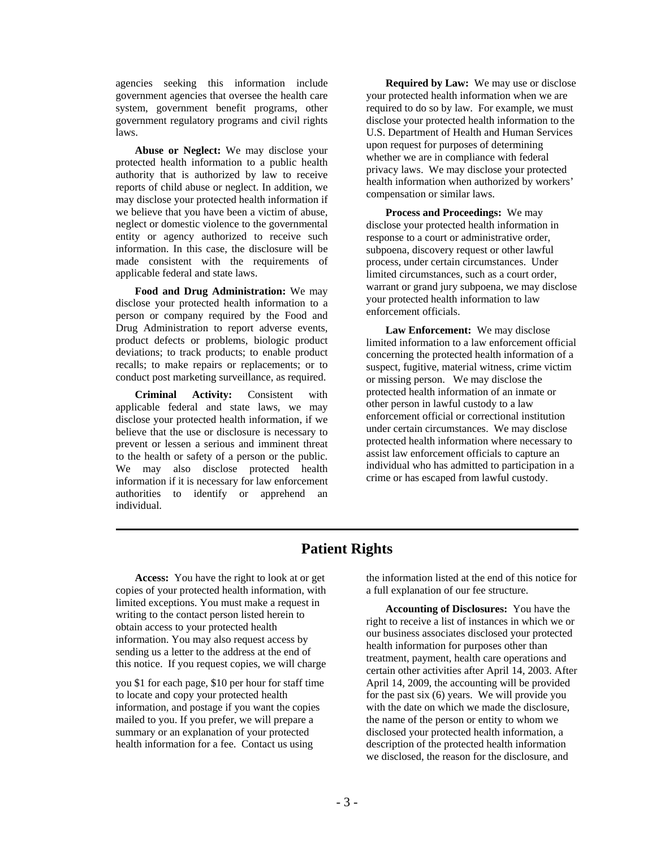agencies seeking this information include government agencies that oversee the health care system, government benefit programs, other government regulatory programs and civil rights laws.

**Abuse or Neglect:** We may disclose your protected health information to a public health authority that is authorized by law to receive reports of child abuse or neglect. In addition, we may disclose your protected health information if we believe that you have been a victim of abuse, neglect or domestic violence to the governmental entity or agency authorized to receive such information. In this case, the disclosure will be made consistent with the requirements of applicable federal and state laws.

**Food and Drug Administration:** We may disclose your protected health information to a person or company required by the Food and Drug Administration to report adverse events, product defects or problems, biologic product deviations; to track products; to enable product recalls; to make repairs or replacements; or to conduct post marketing surveillance, as required.

**Criminal Activity:** Consistent with applicable federal and state laws, we may disclose your protected health information, if we believe that the use or disclosure is necessary to prevent or lessen a serious and imminent threat to the health or safety of a person or the public. We may also disclose protected health information if it is necessary for law enforcement authorities to identify or apprehend an individual.

**Required by Law:** We may use or disclose your protected health information when we are required to do so by law. For example, we must disclose your protected health information to the U.S. Department of Health and Human Services upon request for purposes of determining whether we are in compliance with federal privacy laws. We may disclose your protected health information when authorized by workers' compensation or similar laws.

**Process and Proceedings:** We may disclose your protected health information in response to a court or administrative order, subpoena, discovery request or other lawful process, under certain circumstances. Under limited circumstances, such as a court order, warrant or grand jury subpoena, we may disclose your protected health information to law enforcement officials.

**Law Enforcement:** We may disclose limited information to a law enforcement official concerning the protected health information of a suspect, fugitive, material witness, crime victim or missing person. We may disclose the protected health information of an inmate or other person in lawful custody to a law enforcement official or correctional institution under certain circumstances. We may disclose protected health information where necessary to assist law enforcement officials to capture an individual who has admitted to participation in a crime or has escaped from lawful custody.

# **Patient Rights**

 **Access:** You have the right to look at or get copies of your protected health information, with limited exceptions. You must make a request in writing to the contact person listed herein to obtain access to your protected health information. You may also request access by sending us a letter to the address at the end of this notice. If you request copies, we will charge

you \$1 for each page, \$10 per hour for staff time to locate and copy your protected health information, and postage if you want the copies mailed to you. If you prefer, we will prepare a summary or an explanation of your protected health information for a fee. Contact us using

the information listed at the end of this notice for a full explanation of our fee structure.

**Accounting of Disclosures:** You have the right to receive a list of instances in which we or our business associates disclosed your protected health information for purposes other than treatment, payment, health care operations and certain other activities after April 14, 2003. After April 14, 2009, the accounting will be provided for the past six (6) years. We will provide you with the date on which we made the disclosure, the name of the person or entity to whom we disclosed your protected health information, a description of the protected health information we disclosed, the reason for the disclosure, and